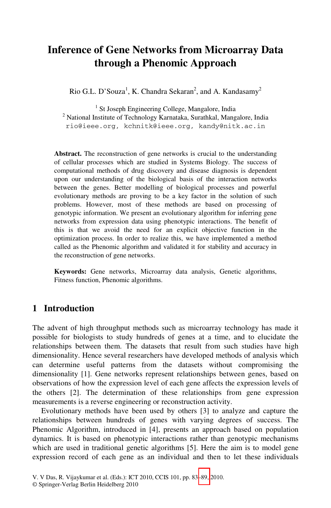# **Inference of Gene Networks from Microarray Data through a Phenomic Approach**

Rio G.L. D'Souza<sup>1</sup>, K. Chandra Sekaran<sup>2</sup>, and A. Kandasamy<sup>2</sup>

<sup>1</sup> St Joseph Engineering College, Mangalore, India<br><sup>2</sup> National Institute of Technology Karnataka, Surathkal, Mang <sup>2</sup> National Institute of Technology Karnataka, Surathkal, Mangalore, India rio@ieee.org, kchnitk@ieee.org, kandy@nitk.ac.in

**Abstract.** The reconstruction of gene networks is crucial to the understanding of cellular processes which are studied in Systems Biology. The success of computational methods of drug discovery and disease diagnosis is dependent upon our understanding of the biological basis of the interaction networks between the genes. Better modelling of biological processes and powerful evolutionary methods are proving to be a key factor in the solution of such problems. However, most of these methods are based on processing of genotypic information. We present an evolutionary algorithm for inferring gene networks from expression data using phenotypic interactions. The benefit of this is that we avoid the need for an explicit objective function in the optimization process. In order to realize this, we have implemented a method called as the Phenomic algorithm and validated it for stability and accuracy in the reconstruction of gene networks.

**Keywords:** Gene networks, Microarray data analysis, Genetic algorithms, Fitness function, Phenomic algorithms.

# **1 Introduction**

The advent of high throughput methods such as microarray technology has made it possible for biologists to study hundreds of genes at a time, and to elucidate the relationships between them. The datasets that result from such studies have high dimensionality. Hence several researchers have developed methods of analysis which can determine useful patterns from the datasets without compromising the dimensionality [1]. Gene networks represent relationships between genes, based on observations of how the expression level of each gene affects the expression levels of the others [2]. The determination of these relationships from gene expression measurements is a reverse engin[eerin](#page-6-0)g or reconstruction activity.

Evolutionary methods have been used by others [3] to analyze and capture the relationships between hundreds of genes with varying degrees of success. The Phenomic Algorithm, introduced in [4], presents an approach based on population dynamics. It is based on phenotypic interactions rather than genotypic mechanisms which are used in traditional genetic algorithms [5]. Here the aim is to model gene expression record of each gene as an individual and then to let these individuals

V. V Das, R. Vijaykumar et al. (Eds.): ICT 2010, CCIS 101, pp. 83–89, 2010.

<sup>©</sup> Springer-Verlag Berlin Heidelberg 2010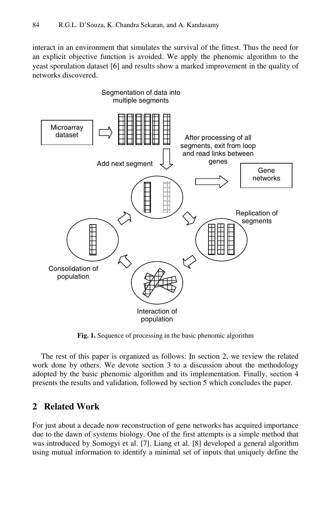interact in an environment that simulates the survival of the fittest. Thus the need for an explicit objective function is avoided. We apply the phenomic algorithm to the yeast sporulation dataset [6] and results show a marked improvement in the quality of networks discovered.



**Fig. 1.** Sequence of processing in the basic phenomic algorithm

The rest of this paper is organized as follows: In section 2, we review the related work done by others. We devote section 3 to a discussion about the methodology adopted by the basic phenomic algorithm and its implementation. Finally, section 4 presents the results and validation, followed by section 5 which concludes the paper.

## **2 Related Work**

For just about a decade now reconstruction of gene networks has acquired importance due to the dawn of systems biology. One of the first attempts is a simple method that was introduced by Somogyi et al. [7]. Liang et al. [8] developed a general algorithm using mutual information to identify a minimal set of inputs that uniquely define the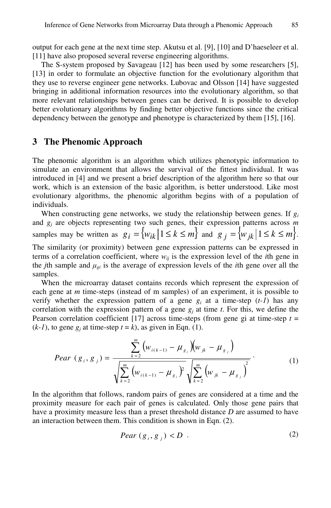output for each gene at the next time step. Akutsu et al. [9], [10] and D'haeseleer et al. [11] have also proposed several reverse engineering algorithms.

The S-system proposed by Savageau [12] has been used by some researchers [5], [13] in order to formulate an objective function for the evolutionary algorithm that they use to reverse engineer gene networks. Lubovac and Olsson [14] have suggested bringing in additional information resources into the evolutionary algorithm, so that more relevant relationships between genes can be derived. It is possible to develop better evolutionary algorithms by finding better objective functions since the critical dependency between the genotype and phenotype is characterized by them [15], [16].

#### **3 The Phenomic Approach**

The phenomic algorithm is an algorithm which utilizes phenotypic information to simulate an environment that allows the survival of the fittest individual. It was introduced in [4] and we present a brief description of the algorithm here so that our work, which is an extension of the basic algorithm, is better understood. Like most evolutionary algorithms, the phenomic algorithm begins with of a population of individuals.

When constructing gene networks, we study the relationship between genes. If  $g_i$ and *gj* are objects representing two such genes, their expression patterns across *m* samples may be written as  $g_i = \{ w_{ik} | 1 \le k \le m \}$  and  $g_i = \{ w_{ik} | 1 \le k \le m \}.$ 

The similarity (or proximity) between gene expression patterns can be expressed in terms of a correlation coefficient, where  $w_{ij}$  is the expression level of the *i*th gene in the *j*th sample and  $\mu_{gi}$  is the average of expression levels of the *i*th gene over all the samples.

When the microarray dataset contains records which represent the expression of each gene at *m* time-steps (instead of m samples) of an experiment, it is possible to verify whether the expression pattern of a gene  $g_i$  at a time-step  $(t-1)$  has any correlation with the expression pattern of a gene  $g_i$  at time *t*. For this, we define the Pearson correlation coefficient [17] across time-steps (from gene gi at time-step *t* =  $(k-l)$ , to gene  $g_i$  at time-step  $t = k$ ), as given in Eqn. (1).

$$
Pear (gi, gj) = \frac{\sum_{k=2}^{m} (w_{i(k-1)} - \mu_{g_i}) (w_{jk} - \mu_{g_j})}{\sqrt{\sum_{k=2}^{m} (w_{i(k-1)} - \mu_{g_i})^2} \sqrt{\sum_{k=2}^{m} (w_{jk} - \mu_{g_j})^2}}.
$$
 (1)

In the algorithm that follows, random pairs of genes are considered at a time and the proximity measure for each pair of genes is calculated. Only those gene pairs that have a proximity measure less than a preset threshold distance *D* are assumed to have an interaction between them. This condition is shown in Eqn. (2).

$$
Pear\left(\mathbf{g}_i, \mathbf{g}_j\right) < D\tag{2}
$$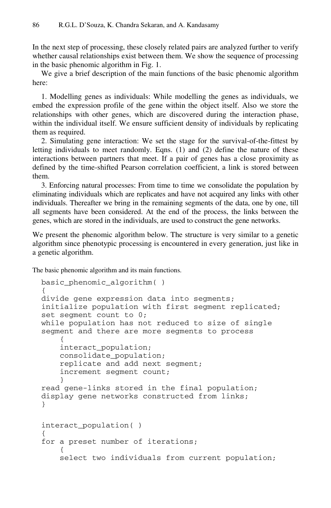In the next step of processing, these closely related pairs are analyzed further to verify whether causal relationships exist between them. We show the sequence of processing in the basic phenomic algorithm in Fig. 1.

We give a brief description of the main functions of the basic phenomic algorithm here:

1. Modelling genes as individuals: While modelling the genes as individuals, we embed the expression profile of the gene within the object itself. Also we store the relationships with other genes, which are discovered during the interaction phase, within the individual itself. We ensure sufficient density of individuals by replicating them as required.

2. Simulating gene interaction: We set the stage for the survival-of-the-fittest by letting individuals to meet randomly. Eqns. (1) and (2) define the nature of these interactions between partners that meet. If a pair of genes has a close proximity as defined by the time-shifted Pearson correlation coefficient, a link is stored between them.

3. Enforcing natural processes: From time to time we consolidate the population by eliminating individuals which are replicates and have not acquired any links with other individuals. Thereafter we bring in the remaining segments of the data, one by one, till all segments have been considered. At the end of the process, the links between the genes, which are stored in the individuals, are used to construct the gene networks.

We present the phenomic algorithm below. The structure is very similar to a genetic algorithm since phenotypic processing is encountered in every generation, just like in a genetic algorithm.

The basic phenomic algorithm and its main functions.

```
basic phenomic algorithm()
{ 
divide gene expression data into segments; 
initialize population with first segment replicated; 
set segment count to 0; 
while population has not reduced to size of single 
segment and there are more segments to process 
\left\{ \begin{array}{c} 1 \end{array} \right. interact_population; 
     consolidate_population; 
     replicate and add next segment; 
     increment segment count; 
 } 
read gene-links stored in the final population; 
display gene networks constructed from links; 
} 
interact_population( ) 
{ 
for a preset number of iterations; 
\{ select two individuals from current population;
```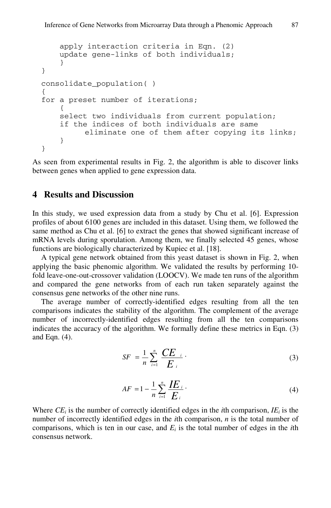```
 apply interaction criteria in Eqn. (2) 
     update gene-links of both individuals; 
     } 
} 
consolidate_population( ) 
{ 
for a preset number of iterations; 
\{ select two individuals from current population; 
     if the indices of both individuals are same 
           eliminate one of them after copying its links; 
 } 
}
```
As seen from experimental results in Fig. 2, the algorithm is able to discover links between genes when applied to gene expression data.

### **4 Results and Discussion**

In this study, we used expression data from a study by Chu et al. [6]. Expression profiles of about 6100 genes are included in this dataset. Using them, we followed the same method as Chu et al. [6] to extract the genes that showed significant increase of mRNA levels during sporulation. Among them, we finally selected 45 genes, whose functions are biologically characterized by Kupiec et al. [18].

A typical gene network obtained from this yeast dataset is shown in Fig. 2, when applying the basic phenomic algorithm. We validated the results by performing 10 fold leave-one-out-crossover validation (LOOCV). We made ten runs of the algorithm and compared the gene networks from of each run taken separately against the consensus gene networks of the other nine runs.

The average number of correctly-identified edges resulting from all the ten comparisons indicates the stability of the algorithm. The complement of the average number of incorrectly-identified edges resulting from all the ten comparisons indicates the accuracy of the algorithm. We formally define these metrics in Eqn. (3) and Eqn. (4).

$$
SF = \frac{1}{n} \sum_{i=1}^{n} \frac{CE_{i}}{E_{i}}.
$$
 (3)

$$
AF = 1 - \frac{1}{n} \sum_{i=1}^{n} \frac{I E_{i}}{E_{i}}.
$$
 (4)

Where  $CE_i$  is the number of correctly identified edges in the *i*th comparison,  $IE_i$  is the number of incorrectly identified edges in the *i*th comparison, *n* is the total number of comparisons, which is ten in our case, and  $E_i$  is the total number of edges in the *i*th consensus network.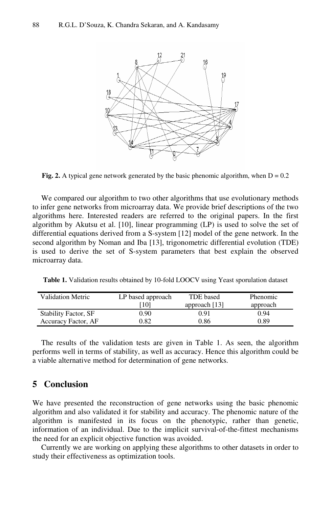

**Fig. 2.** A typical gene network generated by the basic phenomic algorithm, when  $D = 0.2$ 

We compared our algorithm to two other algorithms that use evolutionary methods to infer gene networks from microarray data. We provide brief descriptions of the two algorithms here. Interested readers are referred to the original papers. In the first algorithm by Akutsu et al. [10], linear programming (LP) is used to solve the set of differential equations derived from a S-system [12] model of the gene network. In the second algorithm by Noman and Iba [13], trigonometric differential evolution (TDE) is used to derive the set of S-system parameters that best explain the observed microarray data.

**Table 1.** Validation results obtained by 10-fold LOOCV using Yeast sporulation dataset

| Validation Metric           | LP based approach | TDE based       | Phenomic |
|-----------------------------|-------------------|-----------------|----------|
|                             | [10]              | approach $[13]$ | approach |
| <b>Stability Factor, SF</b> | 0.90              | 0.91            | 0.94     |
| Accuracy Factor, AF         | 0.82              | 0.86            | 0.89     |

The results of the validation tests are given in Table 1. As seen, the algorithm performs well in terms of stability, as well as accuracy. Hence this algorithm could be a viable alternative method for determination of gene networks.

## **5 Conclusion**

We have presented the reconstruction of gene networks using the basic phenomic algorithm and also validated it for stability and accuracy. The phenomic nature of the algorithm is manifested in its focus on the phenotypic, rather than genetic, information of an individual. Due to the implicit survival-of-the-fittest mechanisms the need for an explicit objective function was avoided.

Currently we are working on applying these algorithms to other datasets in order to study their effectiveness as optimization tools.